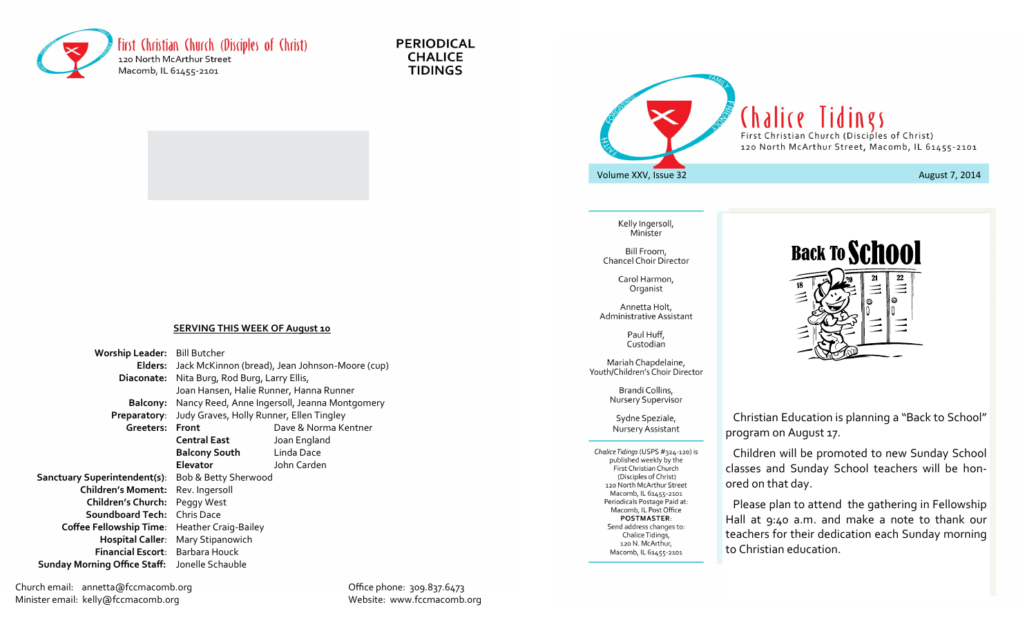

**PERIODICAL CHALICE TIDINGS** 



Kelly Ingersoll, Minister

Bill Froom, Chancel Choir Director

> Carol Harmon, Organist

Annetta Holt, Administrative Assistant

> Paul Huff, Custodian

Mariah Chapdelaine, Youth/Children's Choir Director

> Brandi Collins, Nursery Supervisor

#### Sydne Speziale, Nursery Assistant

Chalice Tidings (USPS #324-120) is published weekly by the First Christian Church (Disciples of Christ) 120 North McArthur Street Macomb, IL 61455-2101 Periodicals Postage Paid at: Macomb, IL Post Office **POSTMASTER:** Send address changes to: Chalice Tidings, 120 N. McArthur, Macomb, IL 61455-2101



 Christian Education is planning a "Back to School" program on August 17.

 Children will be promoted to new Sunday School classes and Sunday School teachers will be honored on that day.

 Please plan to attend the gathering in Fellowship Hall at 9:40 a.m. and make a note to thank our teachers for their dedication each Sunday morning to Christian education.

### **SERVING THIS WEEK OF August 10**

| Worship Leader: Bill Butcher        |                                                         |                      |
|-------------------------------------|---------------------------------------------------------|----------------------|
|                                     | Elders: Jack McKinnon (bread), Jean Johnson-Moore (cup) |                      |
| Diaconate:                          | Nita Burg, Rod Burg, Larry Ellis,                       |                      |
|                                     | Joan Hansen, Halie Runner, Hanna Runner                 |                      |
| <b>Balcony:</b>                     | Nancy Reed, Anne Ingersoll, Jeanna Montgomery           |                      |
| Preparatory:                        | Judy Graves, Holly Runner, Ellen Tingley                |                      |
| Greeters: Front                     |                                                         | Dave & Norma Kentner |
|                                     | Central East                                            | Joan England         |
|                                     | <b>Balcony South</b>                                    | Linda Dace           |
|                                     | <b>Elevator</b>                                         | John Carden          |
| <b>Sanctuary Superintendent(s):</b> | Bob & Betty Sherwood                                    |                      |
| <b>Children's Moment:</b>           | Rev. Ingersoll                                          |                      |
| <b>Children's Church:</b>           | Peggy West                                              |                      |
| Soundboard Tech:                    | Chris Dace                                              |                      |
| <b>Coffee Fellowship Time:</b>      | Heather Craig-Bailey                                    |                      |
| <b>Hospital Caller:</b>             | Mary Stipanowich                                        |                      |
| Financial Escort: Barbara Houck     |                                                         |                      |
| <b>Sunday Morning Office Staff:</b> | Jonelle Schauble                                        |                      |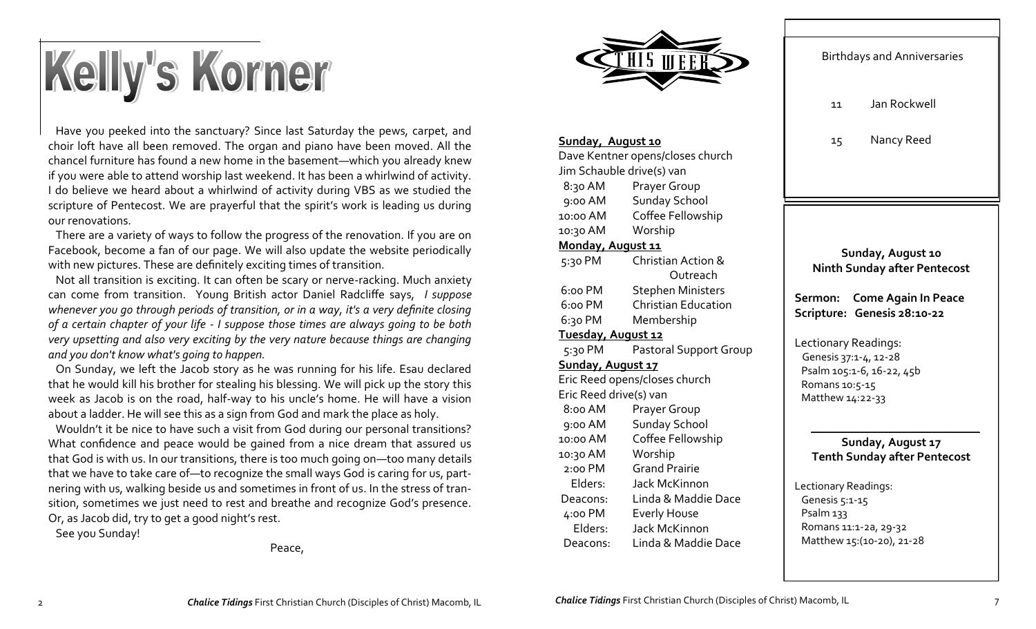# Kelly's Korner

 Have you peeked into the sanctuary? Since last Saturday the pews, carpet, and choir loft have all been removed. The organ and piano have been moved. All the chancel furniture has found a new home in the basement—which you already knew if you were able to attend worship last weekend. It has been a whirlwind of activity. I do believe we heard about a whirlwind of activity during VBS as we studied the scripture of Pentecost. We are prayerful that the spirit's work is leading us during our renovations.

 There are a variety of ways to follow the progress of the renovation. If you are on Facebook, become a fan of our page. We will also update the website periodically with new pictures. These are definitely exciting times of transition.

 Not all transition is exciting. It can often be scary or nerve-racking. Much anxiety can come from transition. Young British actor Daniel Radcliffe says, *I suppose whenever you go through periods of transition, or in a way, it's a very definite closing of a certain chapter of your life - I suppose those times are always going to be both very upsetting and also very exciting by the very nature because things are changing and you don't know what's going to happen.*

 On Sunday, we left the Jacob story as he was running for his life. Esau declared that he would kill his brother for stealing his blessing. We will pick up the story this week as Jacob is on the road, half-way to his uncle's home. He will have a vision about a ladder. He will see this as a sign from God and mark the place as holy.

 Wouldn't it be nice to have such a visit from God during our personal transitions? What confidence and peace would be gained from a nice dream that assured us that God is with us. In our transitions, there is too much going on—too many details that we have to take care of—to recognize the small ways God is caring for us, partnering with us, walking beside us and sometimes in front of us. In the stress of transition, sometimes we just need to rest and breathe and recognize God's presence. Or, as Jacob did, try to get a good night's rest.

See you Sunday!

Peace,



### **Sunday, August 10**

Dave Kentner opens/closes church Jim Schauble drive(s) van 8:30 AM Prayer Group 9:00 AM Sunday School 10:00 AM Coffee Fellowship 10:30 AM Worship **Monday, August 11** 5:30 PM Christian Action & Outreach 6:00 PM Stephen Ministers 6:00 PM Christian Education 6:30 PM Membership **Tuesday, August 12** 5:30 PM Pastoral Support Group **Sunday, August 17** Eric Reed opens/closes church Eric Reed drive(s) van 8:00 AM Prayer Group 9:00 AM Sunday School 10:00 AM Coffee Fellowship 10:30 AM Worship 2:00 PM Grand Prairie Elders: Jack McKinnon Deacons: Linda & Maddie Dace 4:00 PM Everly House Elders: Jack McKinnon Deacons: Linda & Maddie Dace

|                                                                                                                  | <b>Birthdays and Anniversaries</b> |  |
|------------------------------------------------------------------------------------------------------------------|------------------------------------|--|
| 11                                                                                                               | Jan Rockwell                       |  |
| 15                                                                                                               | Nancy Reed                         |  |
|                                                                                                                  |                                    |  |
|                                                                                                                  |                                    |  |
| Sunday, August 10<br><b>Ninth Sunday after Pentecost</b>                                                         |                                    |  |
| Sermon: Come Again In Peace<br>Scripture: Genesis 28:10-22                                                       |                                    |  |
| Lectionary Readings:<br>Genesis 37:1-4, 12-28<br>Psalm 105:1-6, 16-22, 45b<br>Romans 10:5-15<br>Matthew 14:22-33 |                                    |  |
| Sunday, August 17<br><b>Tenth Sunday after Pentecost</b>                                                         |                                    |  |
| Lectionary Readings:<br>Genesis 5:1-15<br>Psalm <sub>133</sub>                                                   |                                    |  |

 Romans 11:1-2a, 29-32 Matthew 15:(10-20), 21-28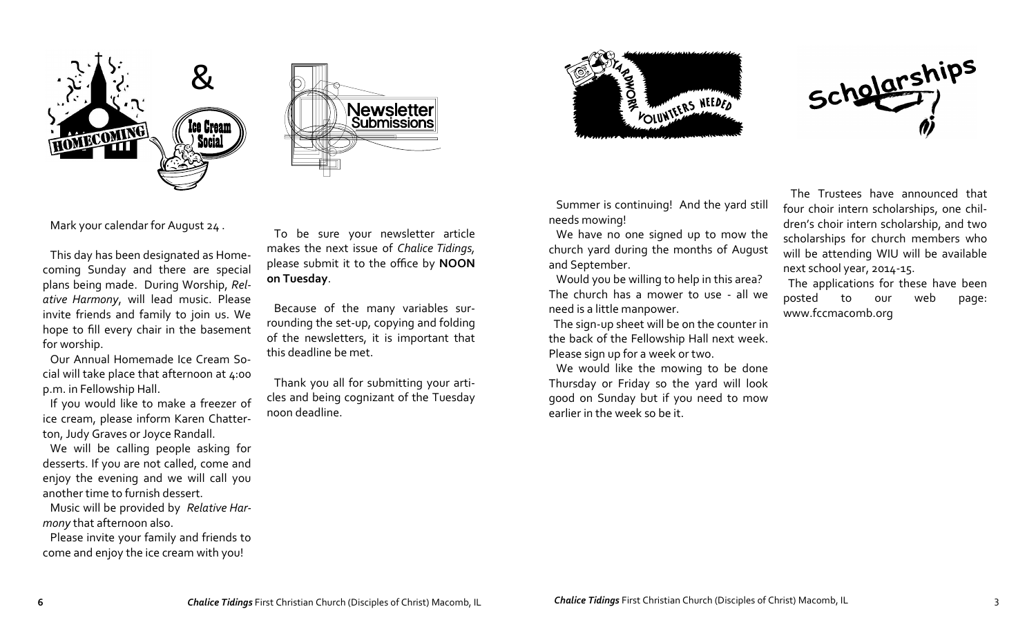



FOLUNTERS NEEDED

 Summer is continuing! And the yard still needs mowing!

 We have no one signed up to mow the church yard during the months of August and September.

 Would you be willing to help in this area? The church has a mower to use - all we need is a little manpower.

 The sign-up sheet will be on the counter in the back of the Fellowship Hall next week. Please sign up for a week or two.

 We would like the mowing to be done Thursday or Friday so the yard will look good on Sunday but if you need to mow earlier in the week so be it.

 The Trustees have announced that four choir intern scholarships, one children's choir intern scholarship, and two scholarships for church members who will be attending WIU will be available next school year, 2014-15.

Scholarships

 The applications for these have been posted to our web page: www.fccmacomb.org

Mark your calendar for August 24 .

 invite friends and family to join us. We plans being made. During Worship, *Rel-* hope to fill every chair in the basement This day has been designated as Homecoming Sunday and there are special *ative Harmony*, will lead music. Please for worship.

 cial will take place that afternoon at 4:00 Our Annual Homemade Ice Cream Sop.m. in Fellowship Hall.

 If you would like to make a freezer of ice cream, please inform Karen Chatterton, Judy Graves or Joyce Randall.

 enjoy the evening and we will call you We will be calling people asking for desserts. If you are not called, come and another time to furnish dessert.

 *mony* that afternoon also. Music will be provided by *Relative Har-*

 come and enjoy the ice cream with you! Please invite your family and friends to

 To be sure your newsletter article makes the next issue of *Chalice Tidings,* please submit it to the office by **NOON on Tuesday**.

 Because of the many variables surrounding the set-up, copying and folding of the newsletters, it is important that this deadline be met.

 Thank you all for submitting your articles and being cognizant of the Tuesday noon deadline.